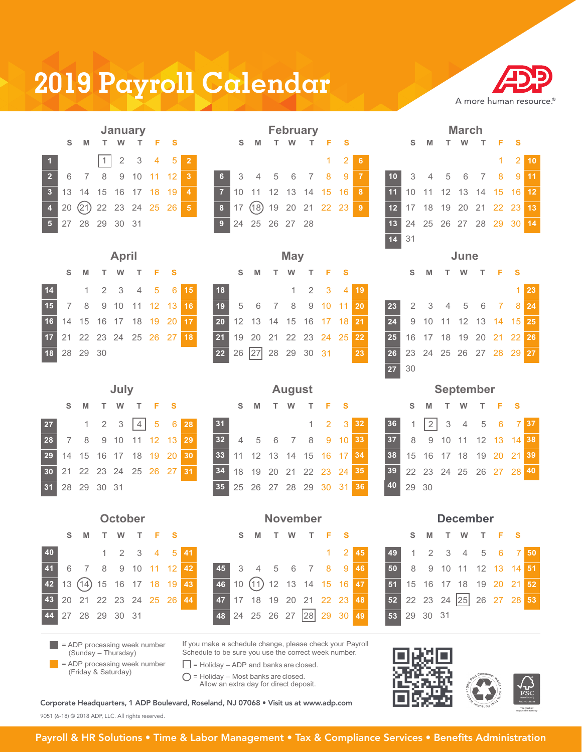## **2019 Payroll Calendar**



|  | S M T W T F S            | <b>January</b> |  |                       |  |
|--|--------------------------|----------------|--|-----------------------|--|
|  |                          |                |  | $\boxed{1}$ 2 3 4 5 2 |  |
|  | 2 6 7 8 9 10 11 12 3     |                |  |                       |  |
|  | 3 13 14 15 16 17 18 19 4 |                |  |                       |  |
|  | 4 20 21 22 23 24 25 26 5 |                |  |                       |  |
|  | 5 27 28 29 30 31         |                |  |                       |  |

|  |                          |  | January |              |      |                            |  | <b>February</b> |       |  |                         |                            | <b>March</b> |                      |  |
|--|--------------------------|--|---------|--------------|------|----------------------------|--|-----------------|-------|--|-------------------------|----------------------------|--------------|----------------------|--|
|  |                          |  |         |              |      |                            |  |                 |       |  | SMTWTFS SMTWTFS SMTWTFS |                            |              |                      |  |
|  |                          |  |         | 1  2 3 4 5 2 |      |                            |  |                 | 1 2 6 |  |                         |                            |              | $1 \quad 2 \quad 10$ |  |
|  | 2 6 7 8 9 10 11 12 3     |  |         |              |      | 6 3 4 5 6 7 8 9 7          |  |                 |       |  |                         | 10 3 4 5 6 7 8 9 11        |              |                      |  |
|  |                          |  |         |              | $-4$ | 7 10 11 12 13 14 15 16 8   |  |                 |       |  |                         | 11 10 11 12 13 14 15 16 12 |              |                      |  |
|  | 4 20 21 22 23 24 25 26 5 |  |         |              |      | 8 17 (18) 19 20 21 22 23 9 |  |                 |       |  |                         | 12 17 18 19 20 21 22 23 13 |              |                      |  |
|  | 5 27 28 29 30 31         |  |         |              |      | 9 24 25 26 27 28           |  |                 |       |  |                         | 13 24 25 26 27 28 29 30 14 |              |                      |  |

|                 |             | <b>April</b> |                            |  |        |    |                            |                   | <b>May</b> |            |    |    |  | June          |  |                               |                              |
|-----------------|-------------|--------------|----------------------------|--|--------|----|----------------------------|-------------------|------------|------------|----|----|--|---------------|--|-------------------------------|------------------------------|
|                 |             |              | S M T W T F S              |  |        |    | S M T W T F S              |                   |            |            |    |    |  | S M T W T F S |  |                               |                              |
| 14 <sup>1</sup> |             |              | 1 2 3 4 5 6 15             |  |        | 18 |                            |                   |            | 1 2 3 4 19 |    |    |  |               |  |                               | $1\overline{\phantom{0}}$ 23 |
| 15 <sup>1</sup> |             |              | 7 8 9 10 11 12 13          |  | l 16 i |    | 19 5 6 7 8 9 10 11 20      |                   |            |            |    | 23 |  |               |  | 2 3 4 5 6 7 8 24              |                              |
|                 |             |              | 16 14 15 16 17 18 19 20 17 |  |        |    | 20 12 13 14 15 16 17 18 21 |                   |            |            |    | 24 |  |               |  | 9 10 11 12 13 <b>14 15 25</b> |                              |
|                 |             |              | 17 21 22 23 24 25 26 27 18 |  |        |    | 21 19 20 21 22 23 24 25 22 |                   |            |            |    | 25 |  |               |  | 16 17 18 19 20 21 22 26       |                              |
|                 | 18 28 29 30 |              |                            |  |        | 22 |                            | 26 27 28 29 30 31 |            |            | 23 |    |  |               |  | 26 23 24 25 26 27 28 29 27    |                              |
|                 |             |              |                            |  |        |    |                            |                   |            |            |    |    |  |               |  |                               |                              |

### **July August September**

|                            |  |  |  | SMTWTFS SMTWTFS SMTWTFS       |                            |  |  |  |  |          |  |                            |  |  |
|----------------------------|--|--|--|-------------------------------|----------------------------|--|--|--|--|----------|--|----------------------------|--|--|
|                            |  |  |  | 27 1 2 3 4 5 6 28 31 1 2 3 32 |                            |  |  |  |  |          |  | 36 1 2 3 4 5 6 7 37        |  |  |
| 28 7 8 9 10 11 12 13 29    |  |  |  |                               | 32 4 5 6 7 8 9 10 33       |  |  |  |  |          |  | 37 8 9 10 11 12 13 14 38   |  |  |
| 29 14 15 16 17 18 19 20 30 |  |  |  |                               | 33 11 12 13 14 15 16 17 34 |  |  |  |  |          |  | 38 15 16 17 18 19 20 21 39 |  |  |
| 30 21 22 23 24 25 26 27 31 |  |  |  |                               | 34 18 19 20 21 22 23 24 35 |  |  |  |  |          |  | 39 22 23 24 25 26 27 28 40 |  |  |
| 31 28 29 30 31             |  |  |  |                               | 35 25 26 27 28 29 30 31 36 |  |  |  |  | 40 29 30 |  |                            |  |  |

|    |    |                              |  | October |           |              |  |                              | <b>November</b> |  |            |    |                         |          |  | <b>December</b>         |  |  |
|----|----|------------------------------|--|---------|-----------|--------------|--|------------------------------|-----------------|--|------------|----|-------------------------|----------|--|-------------------------|--|--|
|    | S. | <b>M</b>                     |  |         | T W T F S |              |  | S M T W T F S                |                 |  |            |    |                         |          |  | S M T W T F S           |  |  |
| 40 |    |                              |  |         |           | 1 2 3 4 5 41 |  |                              |                 |  | $1\quad 2$ | 45 |                         |          |  | 1 2 3 4 5 6 7           |  |  |
|    |    | 41 6 7 8 9 10 11 12 42       |  |         |           |              |  | 45 3 4 5 6 7 8 9 46          |                 |  |            |    | 50                      |          |  | 8 9 10 11 12 13 14      |  |  |
|    |    | 42 13 (14) 15 16 17 18 19 43 |  |         |           |              |  | 46 10 (11) 12 13 14 15 16 47 |                 |  |            |    | 51 15 16 17 18 19 20 21 |          |  |                         |  |  |
|    |    | 43 20 21 22 23 24 25 26 44   |  |         |           |              |  | 47 17 18 19 20 21 22 23 48   |                 |  |            |    |                         |          |  | 52 22 23 24 25 26 27 28 |  |  |
|    |    | 44 27 28 29 30 31            |  |         |           |              |  | 48 24 25 26 27 28 29 30 49   |                 |  |            |    | 53                      | 29 30 31 |  |                         |  |  |

|    |                 |   |          | <b>December</b>            |       |    |
|----|-----------------|---|----------|----------------------------|-------|----|
|    |                 | S | M        | T W                        | T F S |    |
| 45 | 49              |   |          | 1 2 3 4 5 6 7 50           |       |    |
| 46 | 50 <sup>°</sup> |   |          | 8 9 10 11 12 13 14 51      |       |    |
| 47 | 51              |   |          | 15 16 17 18 19 20 21       |       | 52 |
| 48 |                 |   |          | 52 22 23 24 25 26 27 28 53 |       |    |
| 49 | 53              |   | 29 30 31 |                            |       |    |



|  |                     | $\vert$ = ADP processing week number |
|--|---------------------|--------------------------------------|
|  | (Sunday – Thursday) |                                      |

= ADP processing week number

If you make a schedule change, please check your Payroll Schedule to be sure you use the correct week number.

 $\Box$  = Holiday – ADP and banks are closed.

= Holiday - Most banks are closed.

Allow an extra day for direct deposit.

### Corporate Headquarters, 1 ADP Boulevard, Roseland, NJ 07068 • Visit us at www.adp.com

9051 (6-18) © 2018 ADP, LLC. All rights reserved.